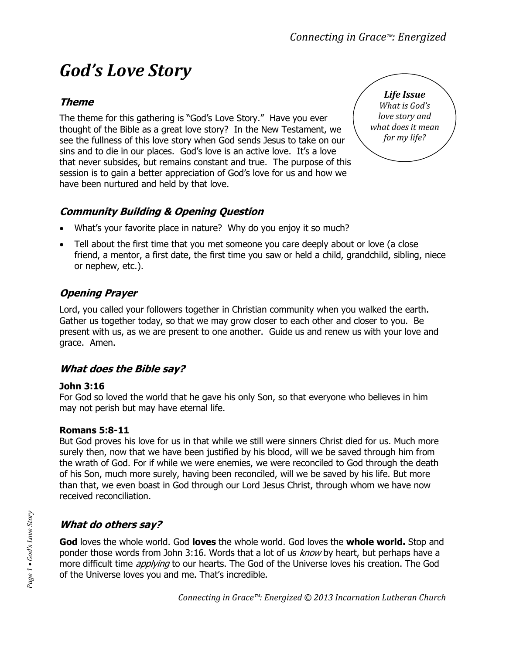# *God's Love Story*

## **Theme**

The theme for this gathering is "God's Love Story." Have you ever thought of the Bible as a great love story? In the New Testament, we see the fullness of this love story when God sends Jesus to take on our sins and to die in our places. God's love is an active love. It's a love that never subsides, but remains constant and true. The purpose of this session is to gain a better appreciation of God's love for us and how we have been nurtured and held by that love.



## **Community Building & Opening Question**

- What's your favorite place in nature? Why do you enjoy it so much?
- Tell about the first time that you met someone you care deeply about or love (a close friend, a mentor, a first date, the first time you saw or held a child, grandchild, sibling, niece or nephew, etc.).

## **Opening Prayer**

Lord, you called your followers together in Christian community when you walked the earth. Gather us together today, so that we may grow closer to each other and closer to you. Be present with us, as we are present to one another. Guide us and renew us with your love and grace. Amen.

### **What does the Bible say?**

#### **John 3:16**

For God so loved the world that he gave his only Son, so that everyone who believes in him may not perish but may have eternal life.

#### **Romans 5:8-11**

But God proves his love for us in that while we still were sinners Christ died for us. Much more surely then, now that we have been justified by his blood, will we be saved through him from the wrath of God. For if while we were enemies, we were reconciled to God through the death of his Son, much more surely, having been reconciled, will we be saved by his life. But more than that, we even boast in God through our Lord Jesus Christ, through whom we have now received reconciliation.

## **What do others say?**

**God** loves the whole world. God **loves** the whole world. God loves the **whole world.** Stop and ponder those words from John 3:16. Words that a lot of us *know* by heart, but perhaps have a more difficult time *applying* to our hearts. The God of the Universe loves his creation. The God of the Universe loves you and me. That's incredible.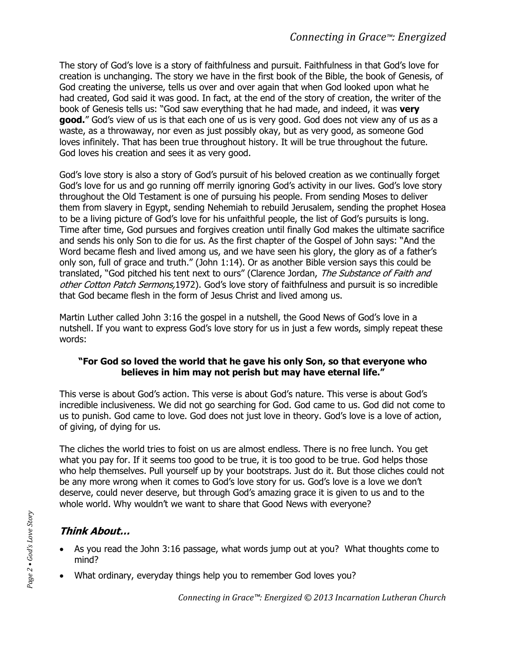The story of God's love is a story of faithfulness and pursuit. Faithfulness in that God's love for creation is unchanging. The story we have in the first book of the Bible, the book of Genesis, of God creating the universe, tells us over and over again that when God looked upon what he had created, God said it was good. In fact, at the end of the story of creation, the writer of the book of Genesis tells us: "God saw everything that he had made, and indeed, it was **very good.**" God's view of us is that each one of us is very good. God does not view any of us as a waste, as a throwaway, nor even as just possibly okay, but as very good, as someone God loves infinitely. That has been true throughout history. It will be true throughout the future. God loves his creation and sees it as very good.

God's love story is also a story of God's pursuit of his beloved creation as we continually forget God's love for us and go running off merrily ignoring God's activity in our lives. God's love story throughout the Old Testament is one of pursuing his people. From sending Moses to deliver them from slavery in Egypt, sending Nehemiah to rebuild Jerusalem, sending the prophet Hosea to be a living picture of God's love for his unfaithful people, the list of God's pursuits is long. Time after time, God pursues and forgives creation until finally God makes the ultimate sacrifice and sends his only Son to die for us. As the first chapter of the Gospel of John says: "And the Word became flesh and lived among us, and we have seen his glory, the glory as of a father's only son, full of grace and truth." (John 1:14). Or as another Bible version says this could be translated, "God pitched his tent next to ours" (Clarence Jordan, The Substance of Faith and other Cotton Patch Sermons, 1972). God's love story of faithfulness and pursuit is so incredible that God became flesh in the form of Jesus Christ and lived among us.

Martin Luther called John 3:16 the gospel in a nutshell, the Good News of God's love in a nutshell. If you want to express God's love story for us in just a few words, simply repeat these words:

#### **"For God so loved the world that he gave his only Son, so that everyone who believes in him may not perish but may have eternal life."**

This verse is about God's action. This verse is about God's nature. This verse is about God's incredible inclusiveness. We did not go searching for God. God came to us. God did not come to us to punish. God came to love. God does not just love in theory. God's love is a love of action, of giving, of dying for us.

The cliches the world tries to foist on us are almost endless. There is no free lunch. You get what you pay for. If it seems too good to be true, it is too good to be true. God helps those who help themselves. Pull yourself up by your bootstraps. Just do it. But those cliches could not be any more wrong when it comes to God's love story for us. God's love is a love we don't deserve, could never deserve, but through God's amazing grace it is given to us and to the whole world. Why wouldn't we want to share that Good News with everyone?

## **Think About…**

- As you read the John 3:16 passage, what words jump out at you? What thoughts come to mind?
- What ordinary, everyday things help you to remember God loves you?